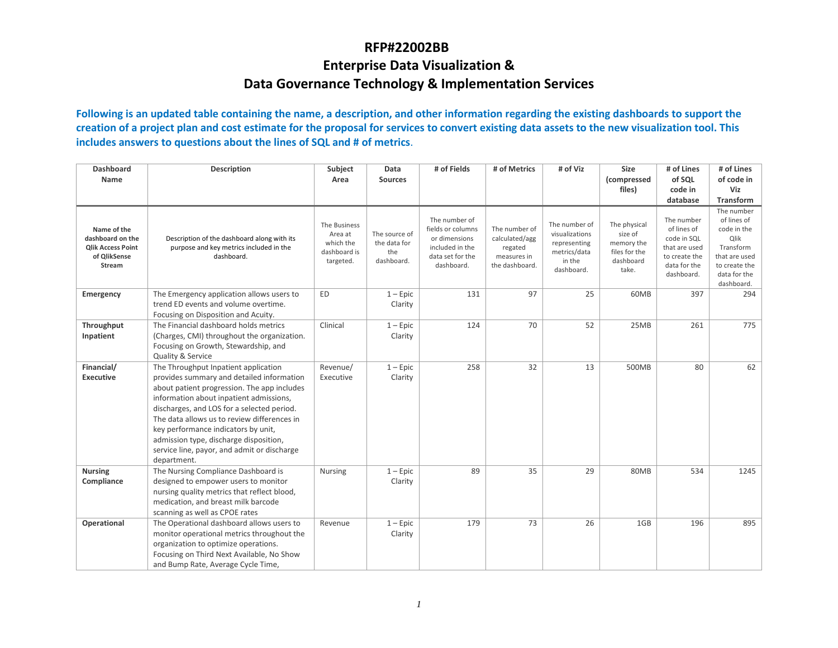#### **RFP#22002BB**

### **Enterprise Data Visualization & Data Governance Technology & Implementation Services**

**Following is an updated table containing the name, a description, and other information regarding the existing dashboards to support the creation of a project plan and cost estimate for the proposal for services to convert existing data assets to the new visualization tool. This includes answers to questions about the lines of SQL and # of metrics**.

| <b>Dashboard</b>                                                                             | <b>Description</b>                                                                                                                                                                                                                                                                                                                                                                                                      | Subject                                                           | Data                                               | # of Fields                                                                                              | # of Metrics                                                                | # of Viz                                                                                | Size                                                                         | # of Lines                                                                                               | # of Lines                                                                                                                    |
|----------------------------------------------------------------------------------------------|-------------------------------------------------------------------------------------------------------------------------------------------------------------------------------------------------------------------------------------------------------------------------------------------------------------------------------------------------------------------------------------------------------------------------|-------------------------------------------------------------------|----------------------------------------------------|----------------------------------------------------------------------------------------------------------|-----------------------------------------------------------------------------|-----------------------------------------------------------------------------------------|------------------------------------------------------------------------------|----------------------------------------------------------------------------------------------------------|-------------------------------------------------------------------------------------------------------------------------------|
| Name                                                                                         |                                                                                                                                                                                                                                                                                                                                                                                                                         | Area                                                              | <b>Sources</b>                                     |                                                                                                          |                                                                             |                                                                                         | (compressed<br>files)                                                        | of SQL<br>code in                                                                                        | of code in<br>Viz                                                                                                             |
|                                                                                              |                                                                                                                                                                                                                                                                                                                                                                                                                         |                                                                   |                                                    |                                                                                                          |                                                                             |                                                                                         |                                                                              | database                                                                                                 | <b>Transform</b>                                                                                                              |
| Name of the<br>dashboard on the<br><b>Qlik Access Point</b><br>of QlikSense<br><b>Stream</b> | Description of the dashboard along with its<br>purpose and key metrics included in the<br>dashboard.                                                                                                                                                                                                                                                                                                                    | The Business<br>Area at<br>which the<br>dashboard is<br>targeted. | The source of<br>the data for<br>the<br>dashboard. | The number of<br>fields or columns<br>or dimensions<br>included in the<br>data set for the<br>dashboard. | The number of<br>calculated/agg<br>regated<br>measures in<br>the dashboard. | The number of<br>visualizations<br>representing<br>metrics/data<br>in the<br>dashboard. | The physical<br>size of<br>memory the<br>files for the<br>dashboard<br>take. | The number<br>of lines of<br>code in SQL<br>that are used<br>to create the<br>data for the<br>dashboard. | The number<br>of lines of<br>code in the<br>Qlik<br>Transform<br>that are used<br>to create the<br>data for the<br>dashboard. |
| Emergency                                                                                    | The Emergency application allows users to<br>trend ED events and volume overtime.<br>Focusing on Disposition and Acuity.                                                                                                                                                                                                                                                                                                | <b>ED</b>                                                         | $1 -$ Epic<br>Clarity                              | 131                                                                                                      | 97                                                                          | 25                                                                                      | 60MB                                                                         | 397                                                                                                      | 294                                                                                                                           |
| Throughput<br>Inpatient                                                                      | The Financial dashboard holds metrics<br>(Charges, CMI) throughout the organization.<br>Focusing on Growth, Stewardship, and<br>Quality & Service                                                                                                                                                                                                                                                                       | Clinical                                                          | $1 -$ Epic<br>Clarity                              | 124                                                                                                      | 70                                                                          | 52                                                                                      | 25MB                                                                         | 261                                                                                                      | 775                                                                                                                           |
| Financial/<br><b>Executive</b>                                                               | The Throughput Inpatient application<br>provides summary and detailed information<br>about patient progression. The app includes<br>information about inpatient admissions,<br>discharges, and LOS for a selected period.<br>The data allows us to review differences in<br>key performance indicators by unit,<br>admission type, discharge disposition,<br>service line, payor, and admit or discharge<br>department. | Revenue/<br>Executive                                             | $1 -$ Epic<br>Clarity                              | 258                                                                                                      | 32                                                                          | 13                                                                                      | 500MB                                                                        | 80                                                                                                       | 62                                                                                                                            |
| <b>Nursing</b><br>Compliance                                                                 | The Nursing Compliance Dashboard is<br>designed to empower users to monitor<br>nursing quality metrics that reflect blood,<br>medication, and breast milk barcode<br>scanning as well as CPOE rates                                                                                                                                                                                                                     | <b>Nursing</b>                                                    | $1 -$ Epic<br>Clarity                              | 89                                                                                                       | 35                                                                          | 29                                                                                      | 80MB                                                                         | 534                                                                                                      | 1245                                                                                                                          |
| Operational                                                                                  | The Operational dashboard allows users to<br>monitor operational metrics throughout the<br>organization to optimize operations.<br>Focusing on Third Next Available, No Show<br>and Bump Rate, Average Cycle Time,                                                                                                                                                                                                      | Revenue                                                           | $1 -$ Epic<br>Clarity                              | 179                                                                                                      | 73                                                                          | 26                                                                                      | 1GB                                                                          | 196                                                                                                      | 895                                                                                                                           |